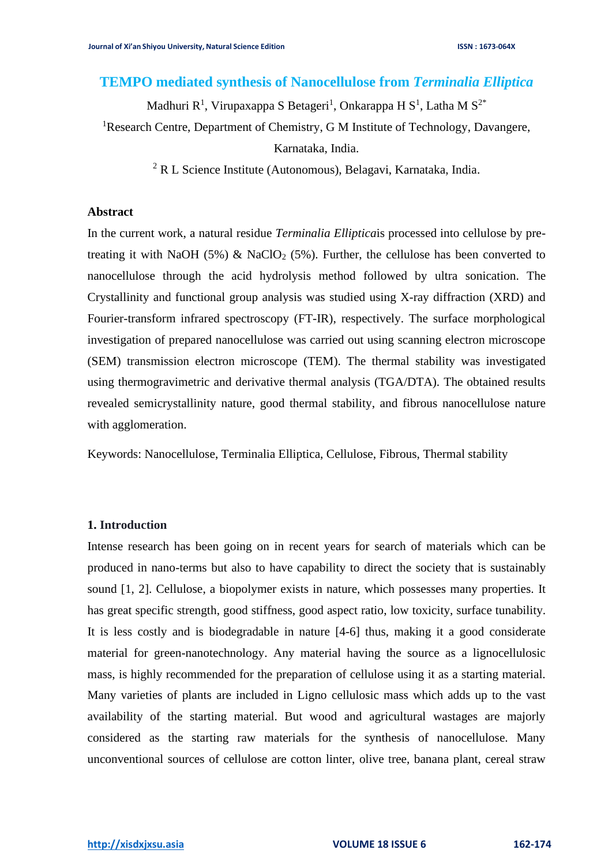# **TEMPO mediated synthesis of Nanocellulose from** *Terminalia Elliptica*

Madhuri R<sup>1</sup>, Virupaxappa S Betageri<sup>1</sup>, Onkarappa H S<sup>1</sup>, Latha M S<sup>2\*</sup>

<sup>1</sup>Research Centre, Department of Chemistry, G M Institute of Technology, Davangere,

Karnataka, India.

<sup>2</sup> R L Science Institute (Autonomous), Belagavi, Karnataka, India.

#### **Abstract**

In the current work, a natural residue *Terminalia Elliptica*is processed into cellulose by pretreating it with NaOH (5%) & NaClO<sub>2</sub> (5%). Further, the cellulose has been converted to nanocellulose through the acid hydrolysis method followed by ultra sonication. The Crystallinity and functional group analysis was studied using X-ray diffraction (XRD) and Fourier-transform infrared spectroscopy (FT-IR), respectively. The surface morphological investigation of prepared nanocellulose was carried out using scanning electron microscope (SEM) transmission electron microscope (TEM). The thermal stability was investigated using thermogravimetric and derivative thermal analysis (TGA/DTA). The obtained results revealed semicrystallinity nature, good thermal stability, and fibrous nanocellulose nature with agglomeration.

Keywords: Nanocellulose, Terminalia Elliptica, Cellulose, Fibrous, Thermal stability

### **1. Introduction**

Intense research has been going on in recent years for search of materials which can be produced in nano-terms but also to have capability to direct the society that is sustainably sound [1, 2]. Cellulose, a biopolymer exists in nature, which possesses many properties. It has great specific strength, good stiffness, good aspect ratio, low toxicity, surface tunability. It is less costly and is biodegradable in nature [4-6] thus, making it a good considerate material for green-nanotechnology. Any material having the source as a lignocellulosic mass, is highly recommended for the preparation of cellulose using it as a starting material. Many varieties of plants are included in Ligno cellulosic mass which adds up to the vast availability of the starting material. But wood and agricultural wastages are majorly considered as the starting raw materials for the synthesis of nanocellulose. Many unconventional sources of cellulose are cotton linter, olive tree, banana plant, cereal straw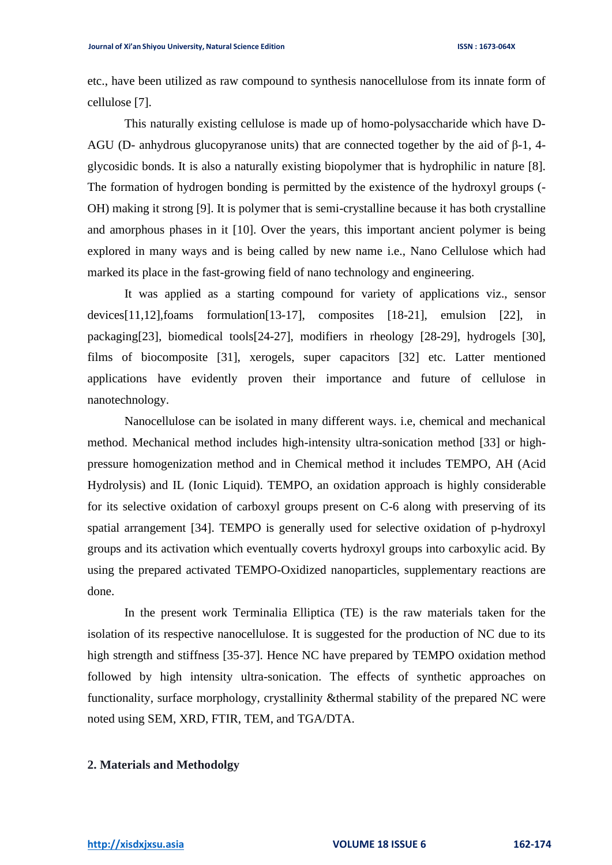etc., have been utilized as raw compound to synthesis nanocellulose from its innate form of cellulose [7].

This naturally existing cellulose is made up of homo-polysaccharide which have D-AGU (D- anhydrous glucopyranose units) that are connected together by the aid of β-1, 4 glycosidic bonds. It is also a naturally existing biopolymer that is hydrophilic in nature [8]. The formation of hydrogen bonding is permitted by the existence of the hydroxyl groups (- OH) making it strong [9]. It is polymer that is semi-crystalline because it has both crystalline and amorphous phases in it [10]. Over the years, this important ancient polymer is being explored in many ways and is being called by new name i.e., Nano Cellulose which had marked its place in the fast-growing field of nano technology and engineering.

It was applied as a starting compound for variety of applications viz., sensor devices[11,12],foams formulation[13-17], composites [18-21], emulsion [22], in packaging[23], biomedical tools[24-27], modifiers in rheology [28-29], hydrogels [30], films of biocomposite [31], xerogels, super capacitors [32] etc. Latter mentioned applications have evidently proven their importance and future of cellulose in nanotechnology.

Nanocellulose can be isolated in many different ways. i.e, chemical and mechanical method. Mechanical method includes high-intensity ultra-sonication method [33] or highpressure homogenization method and in Chemical method it includes TEMPO, AH (Acid Hydrolysis) and IL (Ionic Liquid). TEMPO, an oxidation approach is highly considerable for its selective oxidation of carboxyl groups present on C-6 along with preserving of its spatial arrangement [34]. TEMPO is generally used for selective oxidation of p-hydroxyl groups and its activation which eventually coverts hydroxyl groups into carboxylic acid. By using the prepared activated TEMPO-Oxidized nanoparticles, supplementary reactions are done.

In the present work Terminalia Elliptica (TE) is the raw materials taken for the isolation of its respective nanocellulose. It is suggested for the production of NC due to its high strength and stiffness [35-37]. Hence NC have prepared by TEMPO oxidation method followed by high intensity ultra-sonication. The effects of synthetic approaches on functionality, surface morphology, crystallinity &thermal stability of the prepared NC were noted using SEM, XRD, FTIR, TEM, and TGA/DTA.

### **2. Materials and Methodolgy**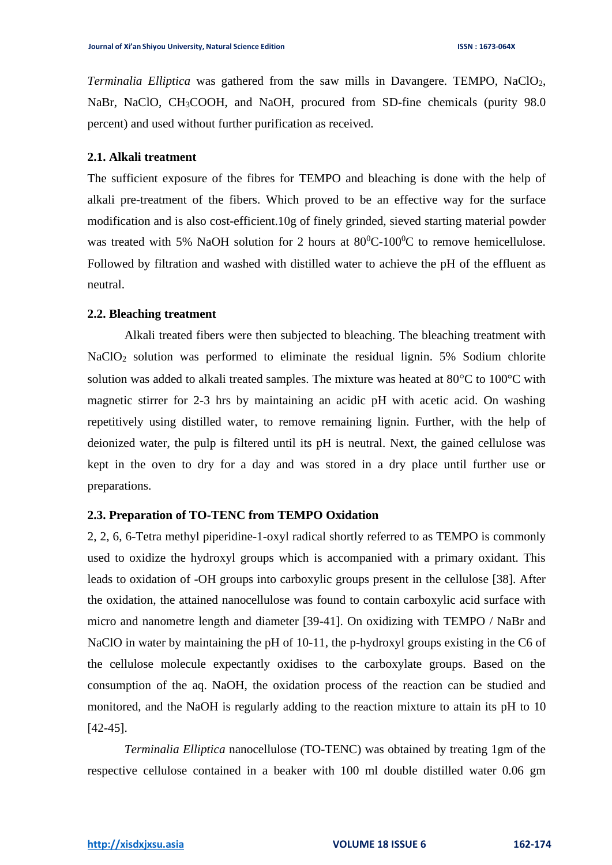*Terminalia Elliptica* was gathered from the saw mills in Davangere. TEMPO, NaClO<sub>2</sub>, NaBr, NaClO, CH<sub>3</sub>COOH, and NaOH, procured from SD-fine chemicals (purity 98.0) percent) and used without further purification as received.

#### **2.1. Alkali treatment**

The sufficient exposure of the fibres for TEMPO and bleaching is done with the help of alkali pre-treatment of the fibers. Which proved to be an effective way for the surface modification and is also cost-efficient.10g of finely grinded, sieved starting material powder was treated with 5% NaOH solution for 2 hours at  $80^0C-100^0C$  to remove hemicellulose. Followed by filtration and washed with distilled water to achieve the pH of the effluent as neutral.

#### **2.2. Bleaching treatment**

Alkali treated fibers were then subjected to bleaching. The bleaching treatment with NaClO<sup>2</sup> solution was performed to eliminate the residual lignin. 5% Sodium chlorite solution was added to alkali treated samples. The mixture was heated at  $80^{\circ}$ C to  $100^{\circ}$ C with magnetic stirrer for 2-3 hrs by maintaining an acidic pH with acetic acid. On washing repetitively using distilled water, to remove remaining lignin. Further, with the help of deionized water, the pulp is filtered until its pH is neutral. Next, the gained cellulose was kept in the oven to dry for a day and was stored in a dry place until further use or preparations.

#### **2.3. Preparation of TO-TENC from TEMPO Oxidation**

2, 2, 6, 6-Tetra methyl piperidine-1-oxyl radical shortly referred to as TEMPO is commonly used to oxidize the hydroxyl groups which is accompanied with a primary oxidant. This leads to oxidation of -OH groups into carboxylic groups present in the cellulose [38]. After the oxidation, the attained nanocellulose was found to contain carboxylic acid surface with micro and nanometre length and diameter [39-41]. On oxidizing with TEMPO / NaBr and NaClO in water by maintaining the pH of 10-11, the p-hydroxyl groups existing in the C6 of the cellulose molecule expectantly oxidises to the carboxylate groups. Based on the consumption of the aq. NaOH, the oxidation process of the reaction can be studied and monitored, and the NaOH is regularly adding to the reaction mixture to attain its pH to 10 [42-45].

*Terminalia Elliptica* nanocellulose (TO-TENC) was obtained by treating 1gm of the respective cellulose contained in a beaker with 100 ml double distilled water 0.06 gm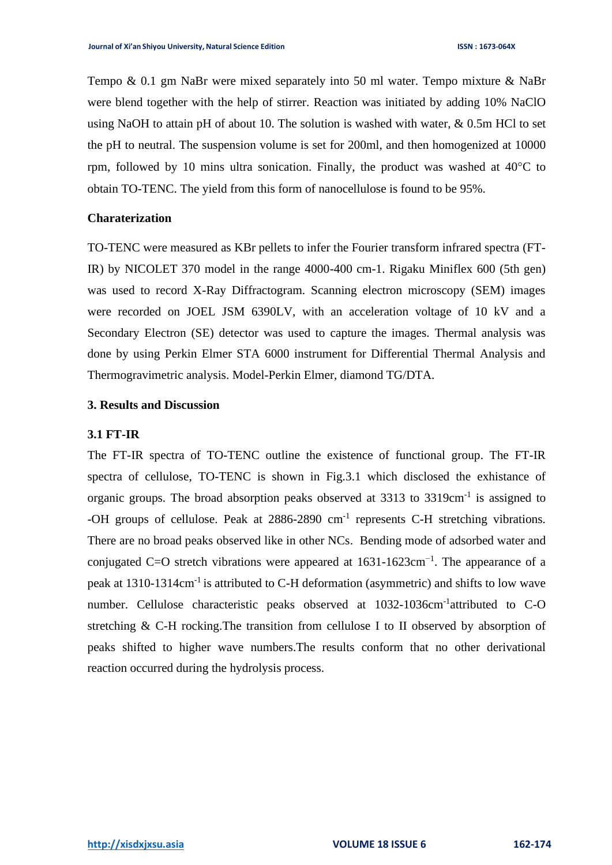Tempo & 0.1 gm NaBr were mixed separately into 50 ml water. Tempo mixture & NaBr were blend together with the help of stirrer. Reaction was initiated by adding 10% NaClO using NaOH to attain pH of about 10. The solution is washed with water, & 0.5m HCl to set the pH to neutral. The suspension volume is set for 200ml, and then homogenized at 10000 rpm, followed by 10 mins ultra sonication. Finally, the product was washed at  $40^{\circ}$ C to obtain TO-TENC. The yield from this form of nanocellulose is found to be 95%.

#### **Charaterization**

TO-TENC were measured as KBr pellets to infer the Fourier transform infrared spectra (FT-IR) by NICOLET 370 model in the range 4000-400 cm-1. Rigaku Miniflex 600 (5th gen) was used to record X-Ray Diffractogram. Scanning electron microscopy (SEM) images were recorded on JOEL JSM 6390LV, with an acceleration voltage of 10 kV and a Secondary Electron (SE) detector was used to capture the images. Thermal analysis was done by using Perkin Elmer STA 6000 instrument for Differential Thermal Analysis and Thermogravimetric analysis. Model-Perkin Elmer, diamond TG/DTA.

### **3. Results and Discussion**

### **3.1 FT-IR**

The FT-IR spectra of TO-TENC outline the existence of functional group. The FT-IR spectra of cellulose, TO-TENC is shown in Fig.3.1 which disclosed the exhistance of organic groups. The broad absorption peaks observed at 3313 to 3319cm<sup>-1</sup> is assigned to -OH groups of cellulose. Peak at 2886-2890 cm<sup>-1</sup> represents C-H stretching vibrations. There are no broad peaks observed like in other NCs. Bending mode of adsorbed water and conjugated C=O stretch vibrations were appeared at  $1631-1623$ cm<sup>-1</sup>. The appearance of a peak at 1310-1314cm<sup>-1</sup> is attributed to C-H deformation (asymmetric) and shifts to low wave number. Cellulose characteristic peaks observed at 1032-1036cm<sup>-1</sup>attributed to C-O stretching & C-H rocking.The transition from cellulose I to II observed by absorption of peaks shifted to higher wave numbers.The results conform that no other derivational reaction occurred during the hydrolysis process.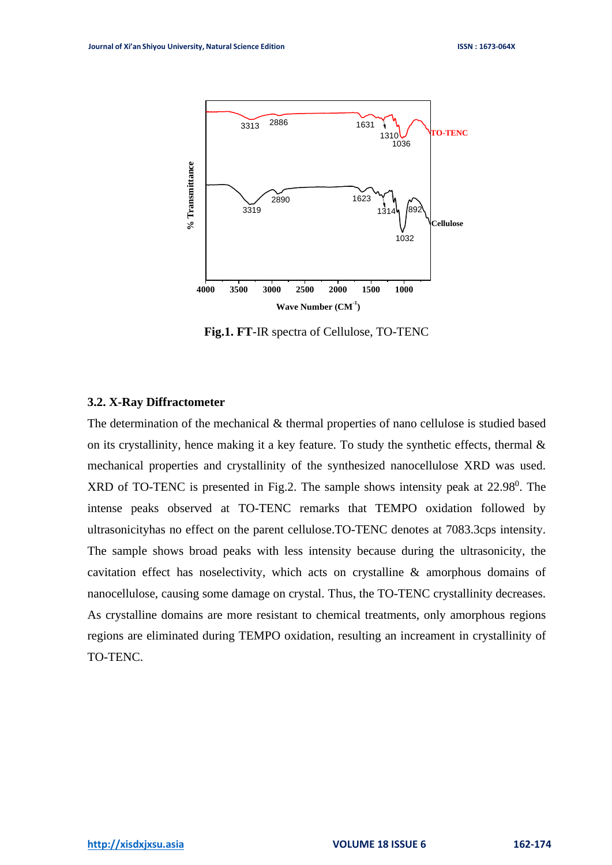

**Fig.1. FT**-IR spectra of Cellulose, TO-TENC

### **3.2. X-Ray Diffractometer**

The determination of the mechanical & thermal properties of nano cellulose is studied based on its crystallinity, hence making it a key feature. To study the synthetic effects, thermal  $\&$ mechanical properties and crystallinity of the synthesized nanocellulose XRD was used.  $XRD$  of TO-TENC is presented in Fig.2. The sample shows intensity peak at  $22.98^\circ$ . The intense peaks observed at TO-TENC remarks that TEMPO oxidation followed by ultrasonicityhas no effect on the parent cellulose.TO-TENC denotes at 7083.3cps intensity. The sample shows broad peaks with less intensity because during the ultrasonicity, the cavitation effect has noselectivity, which acts on crystalline & amorphous domains of nanocellulose, causing some damage on crystal. Thus, the TO-TENC crystallinity decreases. As crystalline domains are more resistant to chemical treatments, only amorphous regions regions are eliminated during TEMPO oxidation, resulting an increament in crystallinity of TO-TENC.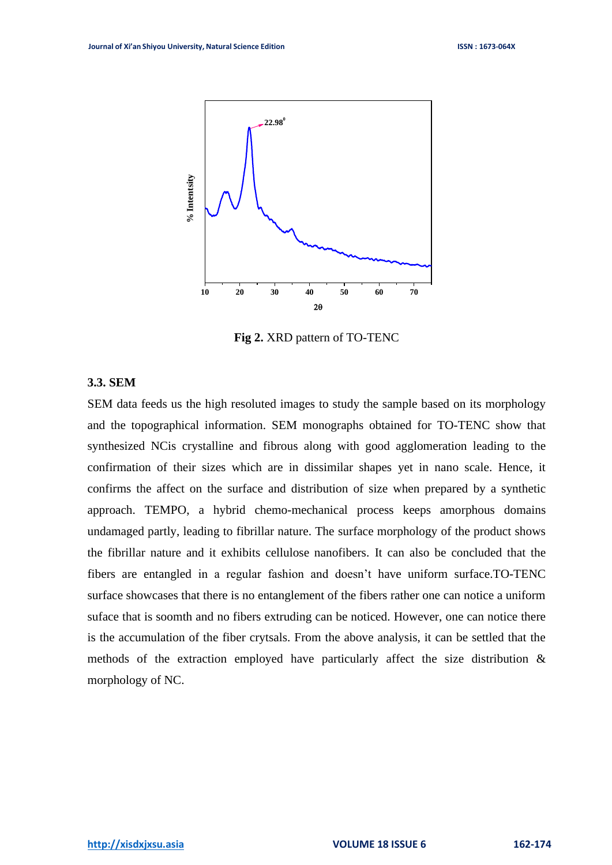

**Fig 2.** XRD pattern of TO-TENC

# **3.3. SEM**

SEM data feeds us the high resoluted images to study the sample based on its morphology and the topographical information. SEM monographs obtained for TO-TENC show that synthesized NCis crystalline and fibrous along with good agglomeration leading to the confirmation of their sizes which are in dissimilar shapes yet in nano scale. Hence, it confirms the affect on the surface and distribution of size when prepared by a synthetic approach. TEMPO, a hybrid chemo-mechanical process keeps amorphous domains undamaged partly, leading to fibrillar nature. The surface morphology of the product shows the fibrillar nature and it exhibits cellulose nanofibers. It can also be concluded that the fibers are entangled in a regular fashion and doesn't have uniform surface.TO-TENC surface showcases that there is no entanglement of the fibers rather one can notice a uniform suface that is soomth and no fibers extruding can be noticed. However, one can notice there is the accumulation of the fiber crytsals. From the above analysis, it can be settled that the methods of the extraction employed have particularly affect the size distribution & morphology of NC.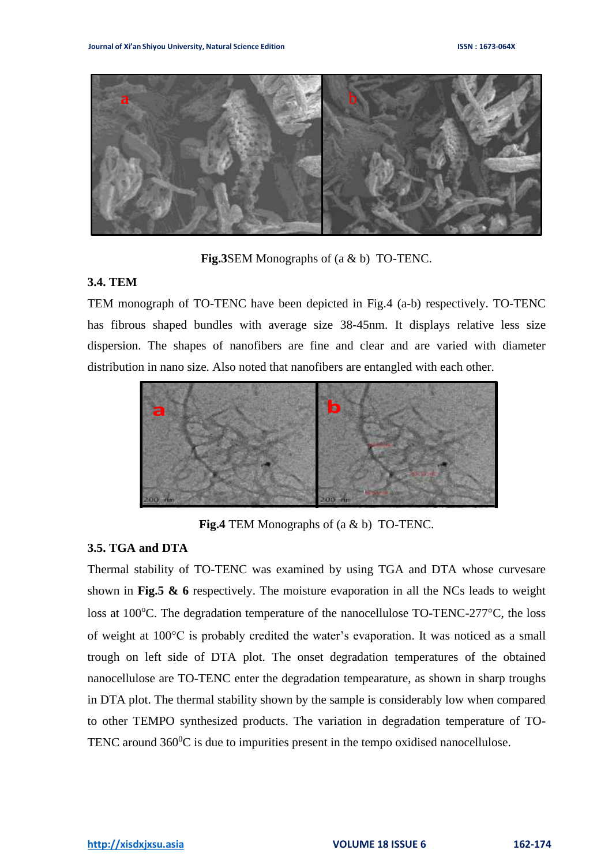

**Fig.3**SEM Monographs of (a & b) TO-TENC.

### **3.4. TEM**

TEM monograph of TO-TENC have been depicted in Fig.4 (a-b) respectively. TO-TENC has fibrous shaped bundles with average size 38-45nm. It displays relative less size dispersion. The shapes of nanofibers are fine and clear and are varied with diameter distribution in nano size. Also noted that nanofibers are entangled with each other.



**Fig.4** TEM Monographs of (a & b) TO-TENC.

## **3.5. TGA and DTA**

Thermal stability of TO-TENC was examined by using TGA and DTA whose curvesare shown in **Fig.5 & 6** respectively. The moisture evaporation in all the NCs leads to weight loss at 100 $^{\circ}$ C. The degradation temperature of the nanocellulose TO-TENC-277 $^{\circ}$ C, the loss of weight at 100°C is probably credited the water's evaporation. It was noticed as a small<br>travel an laft side of DTA also The great decredition temperature of the althing trough on left side of DTA plot. The onset degradation temperatures of the obtained nanocellulose are TO-TENC enter the degradation tempearature, as shown in sharp troughs in DTA plot. The thermal stability shown by the sample is considerably low when compared to other TEMPO synthesized products. The variation in degradation temperature of TO-TENC around  $360^{\circ}$ C is due to impurities present in the tempo oxidised nanocellulose.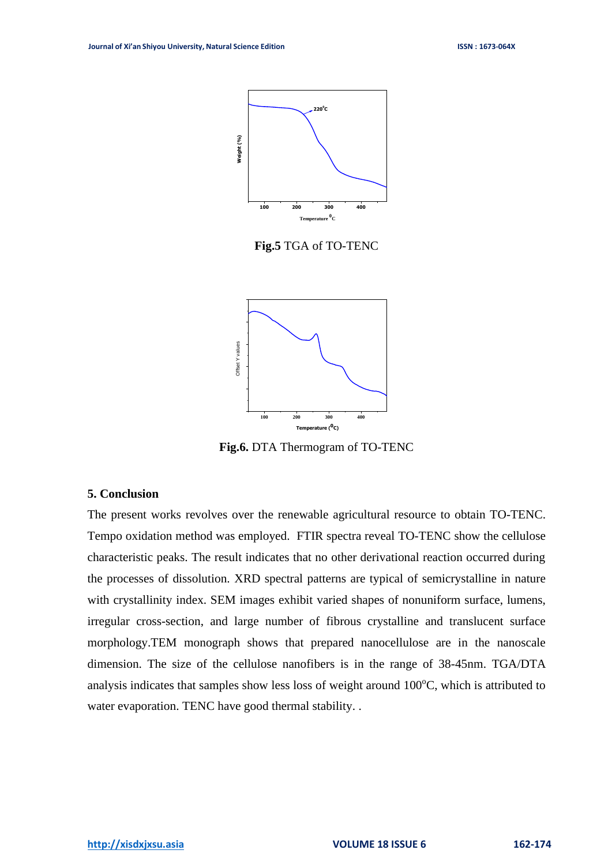

**Fig.5** TGA of TO-TENC



**Fig.6.** DTA Thermogram of TO-TENC

#### **5. Conclusion**

The present works revolves over the renewable agricultural resource to obtain TO-TENC. Tempo oxidation method was employed. FTIR spectra reveal TO-TENC show the cellulose characteristic peaks. The result indicates that no other derivational reaction occurred during the processes of dissolution. XRD spectral patterns are typical of semicrystalline in nature with crystallinity index. SEM images exhibit varied shapes of nonuniform surface, lumens, irregular cross-section, and large number of fibrous crystalline and translucent surface morphology.TEM monograph shows that prepared nanocellulose are in the nanoscale dimension. The size of the cellulose nanofibers is in the range of 38-45nm. TGA/DTA analysis indicates that samples show less loss of weight around  $100^{\circ}$ C, which is attributed to water evaporation. TENC have good thermal stability. .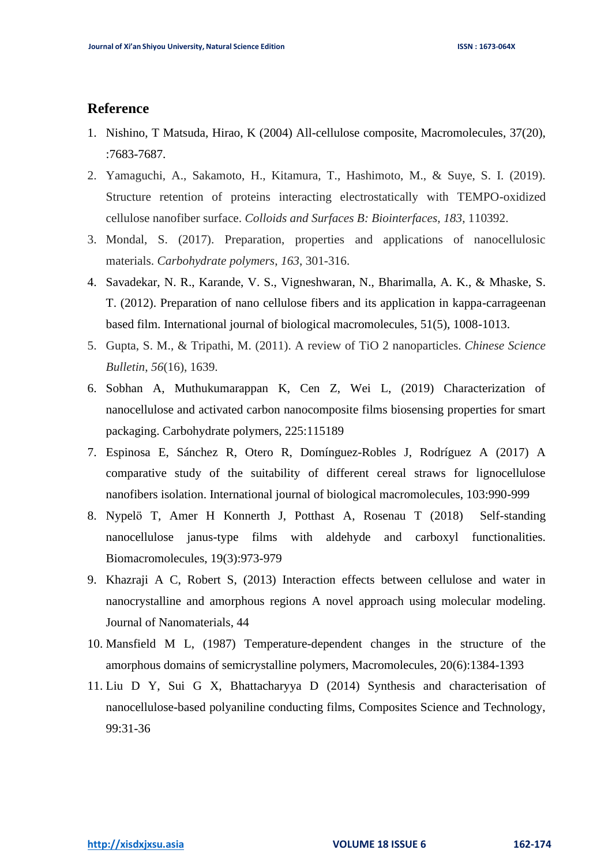# **Reference**

- 1. Nishino, T Matsuda, Hirao, K (2004) All-cellulose composite, Macromolecules, 37(20), :7683-7687.
- 2. Yamaguchi, A., Sakamoto, H., Kitamura, T., Hashimoto, M., & Suye, S. I. (2019). Structure retention of proteins interacting electrostatically with TEMPO-oxidized cellulose nanofiber surface. *Colloids and Surfaces B: Biointerfaces*, *183*, 110392.
- 3. Mondal, S. (2017). Preparation, properties and applications of nanocellulosic materials. *Carbohydrate polymers*, *163*, 301-316.
- 4. Savadekar, N. R., Karande, V. S., Vigneshwaran, N., Bharimalla, A. K., & Mhaske, S. T. (2012). Preparation of nano cellulose fibers and its application in kappa-carrageenan based film. International journal of biological macromolecules, 51(5), 1008-1013.
- 5. Gupta, S. M., & Tripathi, M. (2011). A review of TiO 2 nanoparticles. *Chinese Science Bulletin*, *56*(16), 1639.
- 6. Sobhan A, Muthukumarappan K, Cen Z, Wei L, (2019) Characterization of nanocellulose and activated carbon nanocomposite films biosensing properties for smart packaging. Carbohydrate polymers, 225:115189
- 7. Espinosa E, Sánchez R, Otero R, Domínguez-Robles J, Rodríguez A (2017) A comparative study of the suitability of different cereal straws for lignocellulose nanofibers isolation. International journal of biological macromolecules, 103:990-999
- 8. Nypelö T, Amer H Konnerth J, Potthast A, Rosenau T (2018) Self-standing nanocellulose janus-type films with aldehyde and carboxyl functionalities. Biomacromolecules, 19(3):973-979
- 9. Khazraji A C, Robert S, (2013) Interaction effects between cellulose and water in nanocrystalline and amorphous regions A novel approach using molecular modeling. Journal of Nanomaterials, 44
- 10. Mansfield M L, (1987) Temperature-dependent changes in the structure of the amorphous domains of semicrystalline polymers, Macromolecules, 20(6):1384-1393
- 11. Liu D Y, Sui G X, Bhattacharyya D (2014) Synthesis and characterisation of nanocellulose-based polyaniline conducting films, Composites Science and Technology, 99:31-36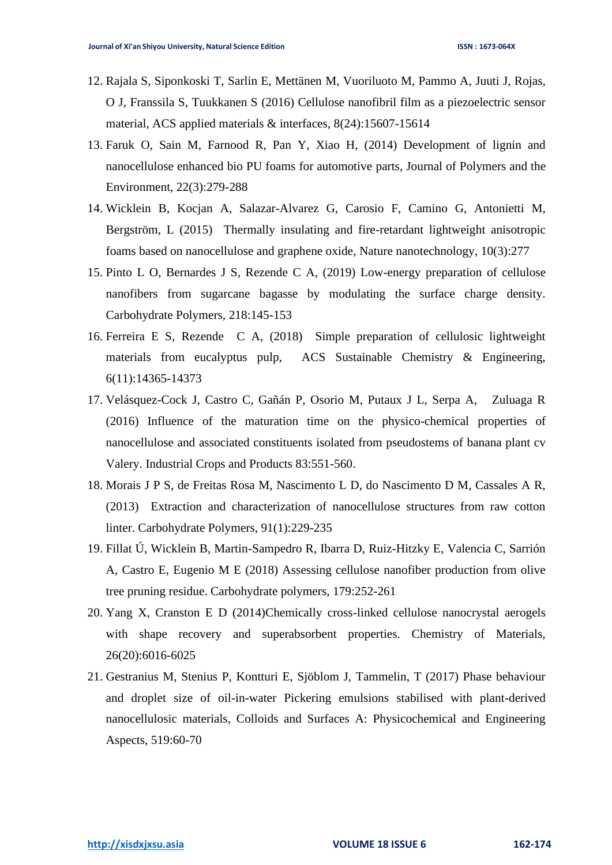- 12. Rajala S, Siponkoski T, Sarlin E, Mettänen M, Vuoriluoto M, Pammo A, Juuti J, Rojas, O J, Franssila S, Tuukkanen S (2016) Cellulose nanofibril film as a piezoelectric sensor material, ACS applied materials & interfaces, 8(24):15607-15614
- 13. Faruk O, Sain M, Farnood R, Pan Y, Xiao H, (2014) Development of lignin and nanocellulose enhanced bio PU foams for automotive parts, Journal of Polymers and the Environment, 22(3):279-288
- 14. Wicklein B, Kocjan A, Salazar-Alvarez G, Carosio F, Camino G, Antonietti M, Bergström, L (2015) Thermally insulating and fire-retardant lightweight anisotropic foams based on nanocellulose and graphene oxide, Nature nanotechnology, 10(3):277
- 15. Pinto L O, Bernardes J S, Rezende C A, (2019) Low-energy preparation of cellulose nanofibers from sugarcane bagasse by modulating the surface charge density. Carbohydrate Polymers, 218:145-153
- 16. Ferreira E S, Rezende C A, (2018) Simple preparation of cellulosic lightweight materials from eucalyptus pulp, ACS Sustainable Chemistry & Engineering, 6(11):14365-14373
- 17. Velásquez-Cock J, Castro C, Gañán P, Osorio M, Putaux J L, Serpa A, Zuluaga R (2016) Influence of the maturation time on the physico-chemical properties of nanocellulose and associated constituents isolated from pseudostems of banana plant cv Valery. Industrial Crops and Products 83:551-560.
- 18. Morais J P S, de Freitas Rosa M, Nascimento L D, do Nascimento D M, Cassales A R, (2013) Extraction and characterization of nanocellulose structures from raw cotton linter. Carbohydrate Polymers, 91(1):229-235
- 19. Fillat Ú, Wicklein B, Martin-Sampedro R, Ibarra D, Ruiz-Hitzky E, Valencia C, Sarrión A, Castro E, Eugenio M E (2018) Assessing cellulose nanofiber production from olive tree pruning residue. Carbohydrate polymers, 179:252-261
- 20. Yang X, Cranston E D (2014)Chemically cross-linked cellulose nanocrystal aerogels with shape recovery and superabsorbent properties. Chemistry of Materials, 26(20):6016-6025
- 21. Gestranius M, Stenius P, Kontturi E, Sjöblom J, Tammelin, T (2017) Phase behaviour and droplet size of oil-in-water Pickering emulsions stabilised with plant-derived nanocellulosic materials, Colloids and Surfaces A: Physicochemical and Engineering Aspects, 519:60-70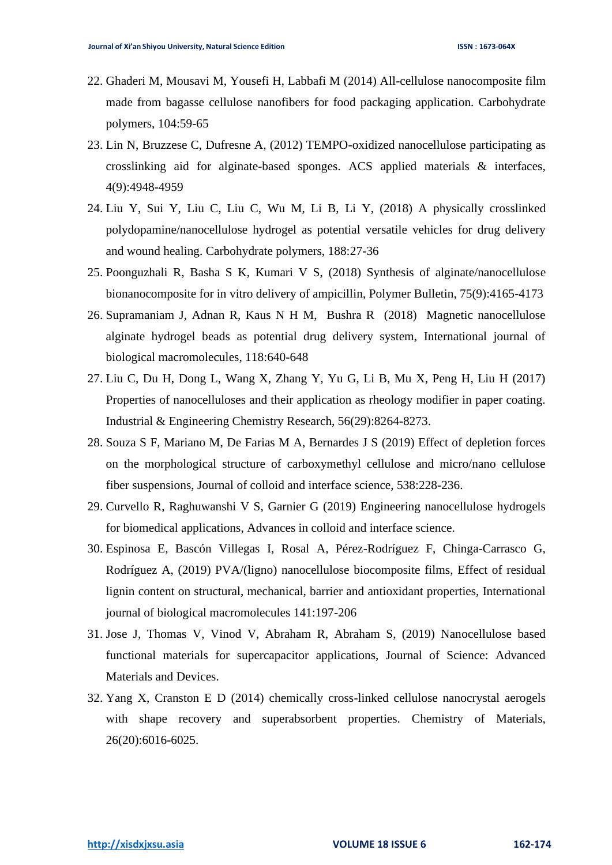- 22. Ghaderi M, Mousavi M, Yousefi H, Labbafi M (2014) All-cellulose nanocomposite film made from bagasse cellulose nanofibers for food packaging application. Carbohydrate polymers, 104:59-65
- 23. Lin N, Bruzzese C, Dufresne A, (2012) TEMPO-oxidized nanocellulose participating as crosslinking aid for alginate-based sponges. ACS applied materials & interfaces, 4(9):4948-4959
- 24. Liu Y, Sui Y, Liu C, Liu C, Wu M, Li B, Li Y, (2018) A physically crosslinked polydopamine/nanocellulose hydrogel as potential versatile vehicles for drug delivery and wound healing. Carbohydrate polymers, 188:27-36
- 25. Poonguzhali R, Basha S K, Kumari V S, (2018) Synthesis of alginate/nanocellulose bionanocomposite for in vitro delivery of ampicillin, Polymer Bulletin, 75(9):4165-4173
- 26. Supramaniam J, Adnan R, Kaus N H M, Bushra R (2018) Magnetic nanocellulose alginate hydrogel beads as potential drug delivery system, International journal of biological macromolecules, 118:640-648
- 27. Liu C, Du H, Dong L, Wang X, Zhang Y, Yu G, Li B, Mu X, Peng H, Liu H (2017) Properties of nanocelluloses and their application as rheology modifier in paper coating. Industrial & Engineering Chemistry Research, 56(29):8264-8273.
- 28. Souza S F, Mariano M, De Farias M A, Bernardes J S (2019) Effect of depletion forces on the morphological structure of carboxymethyl cellulose and micro/nano cellulose fiber suspensions, Journal of colloid and interface science, 538:228-236.
- 29. Curvello R, Raghuwanshi V S, Garnier G (2019) Engineering nanocellulose hydrogels for biomedical applications, Advances in colloid and interface science.
- 30. Espinosa E, Bascón Villegas I, Rosal A, Pérez-Rodríguez F, Chinga-Carrasco G, Rodríguez A, (2019) PVA/(ligno) nanocellulose biocomposite films, Effect of residual lignin content on structural, mechanical, barrier and antioxidant properties, International journal of biological macromolecules 141:197-206
- 31. Jose J, Thomas V, Vinod V, Abraham R, Abraham S, (2019) Nanocellulose based functional materials for supercapacitor applications, Journal of Science: Advanced Materials and Devices.
- 32. Yang X, Cranston E D (2014) chemically cross-linked cellulose nanocrystal aerogels with shape recovery and superabsorbent properties. Chemistry of Materials, 26(20):6016-6025.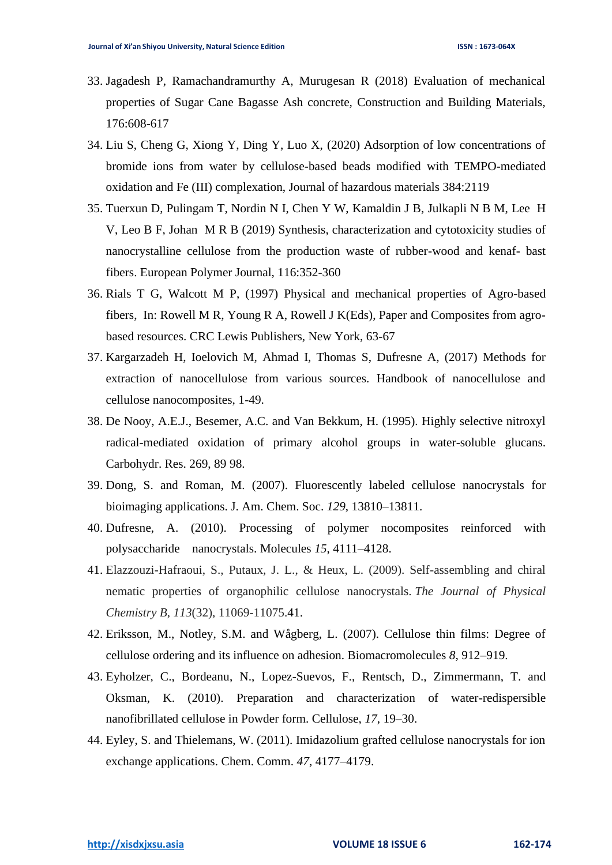- 33. Jagadesh P, Ramachandramurthy A, Murugesan R (2018) Evaluation of mechanical properties of Sugar Cane Bagasse Ash concrete, Construction and Building Materials, 176:608-617
- 34. Liu S, Cheng G, Xiong Y, Ding Y, Luo X, (2020) Adsorption of low concentrations of bromide ions from water by cellulose-based beads modified with TEMPO-mediated oxidation and Fe (III) complexation, Journal of hazardous materials 384:2119
- 35. Tuerxun D, Pulingam T, Nordin N I, Chen Y W, Kamaldin J B, Julkapli N B M, Lee H V, Leo B F, Johan M R B (2019) Synthesis, characterization and cytotoxicity studies of nanocrystalline cellulose from the production waste of rubber-wood and kenaf- bast fibers. European Polymer Journal, 116:352-360
- 36. Rials T G, Walcott M P, (1997) Physical and mechanical properties of Agro-based fibers, In: Rowell M R, Young R A, Rowell J K(Eds), Paper and Composites from agrobased resources. CRC Lewis Publishers, New York, 63-67
- 37. Kargarzadeh H, Ioelovich M, Ahmad I, Thomas S, Dufresne A, (2017) Methods for extraction of nanocellulose from various sources. Handbook of nanocellulose and cellulose nanocomposites, 1-49.
- 38. De Nooy, A.E.J., Besemer, A.C. and Van Bekkum, H. (1995). Highly selective nitroxyl radical-mediated oxidation of primary alcohol groups in water-soluble glucans. Carbohydr. Res. 269, 89 98.
- 39. Dong, S. and Roman, M. (2007). Fluorescently labeled cellulose nanocrystals for bioimaging applications. J. Am. Chem. Soc. *129*, 13810–13811.
- 40. Dufresne, A. (2010). Processing of polymer nocomposites reinforced with polysaccharide nanocrystals. Molecules *15*, 4111–4128.
- 41. Elazzouzi-Hafraoui, S., Putaux, J. L., & Heux, L. (2009). Self-assembling and chiral nematic properties of organophilic cellulose nanocrystals. *The Journal of Physical Chemistry B*, *113*(32), 11069-11075.41.
- 42. Eriksson, M., Notley, S.M. and Wågberg, L. (2007). Cellulose thin films: Degree of cellulose ordering and its influence on adhesion. Biomacromolecules *8*, 912–919.
- 43. Eyholzer, C., Bordeanu, N., Lopez-Suevos, F., Rentsch, D., Zimmermann, T. and Oksman, K. (2010). Preparation and characterization of water-redispersible nanofibrillated cellulose in Powder form. Cellulose, *17*, 19–30.
- 44. Eyley, S. and Thielemans, W. (2011). Imidazolium grafted cellulose nanocrystals for ion exchange applications. Chem. Comm. *47*, 4177–4179.